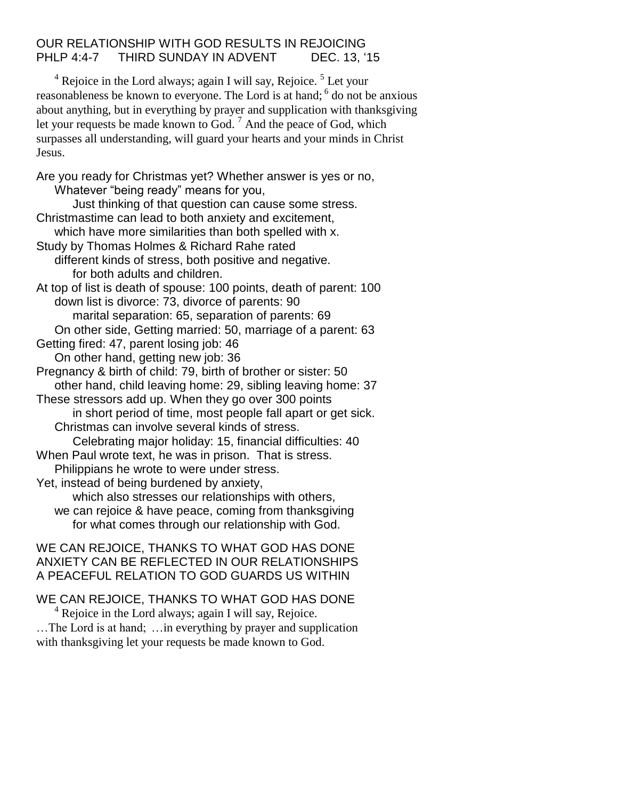## OUR RELATIONSHIP WITH GOD RESULTS IN REJOICING PHLP 4:4-7THIRD SUNDAY IN ADVENT DEC. 13, '15

 $4$  Rejoice in the Lord always; again I will say, Rejoice.  $5$  Let your reasonableness be known to everyone. The Lord is at hand; <sup>6</sup> do not be anxious about anything, but in everything by prayer and supplication with thanksgiving let your requests be made known to God.  $^7$  And the peace of God, which surpasses all understanding, will guard your hearts and your minds in Christ Jesus.

Are you ready for Christmas yet? Whether answer is yes or no, Whatever "being ready" means for you, Just thinking of that question can cause some stress. Christmastime can lead to both anxiety and excitement, which have more similarities than both spelled with x. Study by Thomas Holmes & Richard Rahe rated different kinds of stress, both positive and negative. for both adults and children. At top of list is death of spouse: 100 points, death of parent: 100 down list is divorce: 73, divorce of parents: 90 marital separation: 65, separation of parents: 69 On other side, Getting married: 50, marriage of a parent: 63 Getting fired: 47, parent losing job: 46 On other hand, getting new job: 36 Pregnancy & birth of child: 79, birth of brother or sister: 50 other hand, child leaving home: 29, sibling leaving home: 37 These stressors add up. When they go over 300 points in short period of time, most people fall apart or get sick. Christmas can involve several kinds of stress. Celebrating major holiday: 15, financial difficulties: 40 When Paul wrote text, he was in prison. That is stress. Philippians he wrote to were under stress. Yet, instead of being burdened by anxiety, which also stresses our relationships with others, we can rejoice & have peace, coming from thanksgiving for what comes through our relationship with God.

## WE CAN REJOICE, THANKS TO WHAT GOD HAS DONE ANXIETY CAN BE REFLECTED IN OUR RELATIONSHIPS A PEACEFUL RELATION TO GOD GUARDS US WITHIN

WE CAN REJOICE, THANKS TO WHAT GOD HAS DONE  $4$  Rejoice in the Lord always; again I will say, Rejoice. …The Lord is at hand; …in everything by prayer and supplication

with thanksgiving let your requests be made known to God.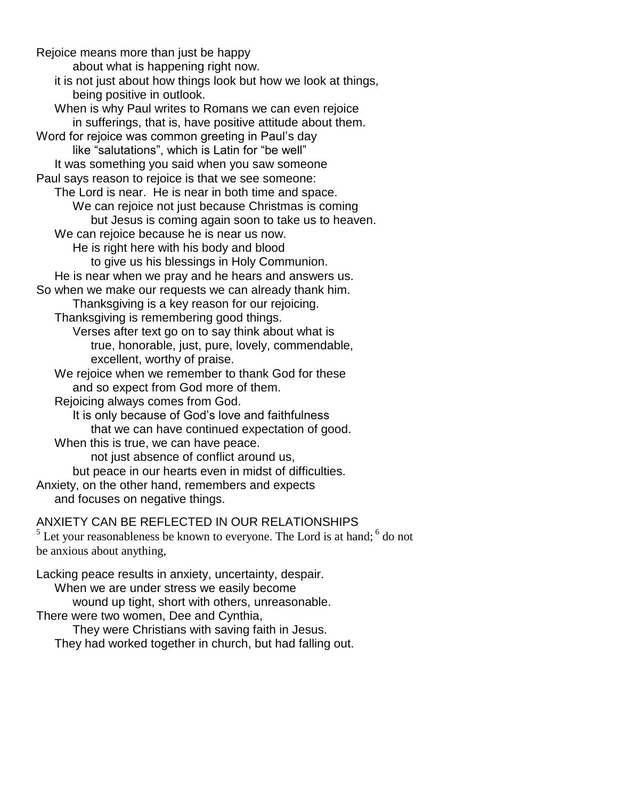Rejoice means more than just be happy about what is happening right now. it is not just about how things look but how we look at things, being positive in outlook. When is why Paul writes to Romans we can even rejoice in sufferings, that is, have positive attitude about them. Word for rejoice was common greeting in Paul's day like "salutations", which is Latin for "be well" It was something you said when you saw someone Paul says reason to rejoice is that we see someone: The Lord is near. He is near in both time and space. We can rejoice not just because Christmas is coming but Jesus is coming again soon to take us to heaven. We can rejoice because he is near us now. He is right here with his body and blood to give us his blessings in Holy Communion. He is near when we pray and he hears and answers us. So when we make our requests we can already thank him. Thanksgiving is a key reason for our rejoicing. Thanksgiving is remembering good things. Verses after text go on to say think about what is true, honorable, just, pure, lovely, commendable, excellent, worthy of praise. We rejoice when we remember to thank God for these and so expect from God more of them. Rejoicing always comes from God. It is only because of God's love and faithfulness that we can have continued expectation of good. When this is true, we can have peace. not just absence of conflict around us, but peace in our hearts even in midst of difficulties. Anxiety, on the other hand, remembers and expects and focuses on negative things. ANXIETY CAN BE REFLECTED IN OUR RELATIONSHIPS

 $<sup>5</sup>$  Let your reasonableness be known to everyone. The Lord is at hand;  $<sup>6</sup>$  do not</sup></sup> be anxious about anything,

Lacking peace results in anxiety, uncertainty, despair. When we are under stress we easily become wound up tight, short with others, unreasonable. There were two women, Dee and Cynthia, They were Christians with saving faith in Jesus.

They had worked together in church, but had falling out.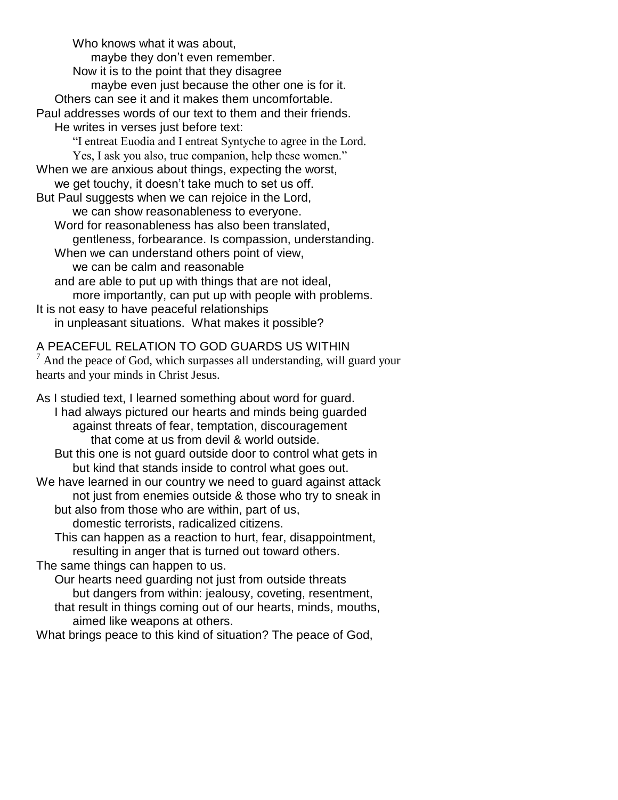Who knows what it was about, maybe they don't even remember. Now it is to the point that they disagree maybe even just because the other one is for it. Others can see it and it makes them uncomfortable. Paul addresses words of our text to them and their friends. He writes in verses just before text: "I entreat Euodia and I entreat Syntyche to agree in the Lord. Yes, I ask you also, true companion, help these women." When we are anxious about things, expecting the worst, we get touchy, it doesn't take much to set us off. But Paul suggests when we can rejoice in the Lord, we can show reasonableness to everyone. Word for reasonableness has also been translated, gentleness, forbearance. Is compassion, understanding. When we can understand others point of view, we can be calm and reasonable and are able to put up with things that are not ideal, more importantly, can put up with people with problems. It is not easy to have peaceful relationships in unpleasant situations. What makes it possible?

A PEACEFUL RELATION TO GOD GUARDS US WITHIN  $<sup>7</sup>$  And the peace of God, which surpasses all understanding, will guard your</sup>

hearts and your minds in Christ Jesus.

As I studied text, I learned something about word for guard. I had always pictured our hearts and minds being guarded against threats of fear, temptation, discouragement that come at us from devil & world outside. But this one is not guard outside door to control what gets in but kind that stands inside to control what goes out.

We have learned in our country we need to guard against attack not just from enemies outside & those who try to sneak in but also from those who are within, part of us,

domestic terrorists, radicalized citizens.

This can happen as a reaction to hurt, fear, disappointment, resulting in anger that is turned out toward others.

The same things can happen to us.

Our hearts need guarding not just from outside threats but dangers from within: jealousy, coveting, resentment, that result in things coming out of our hearts, minds, mouths, aimed like weapons at others.

What brings peace to this kind of situation? The peace of God,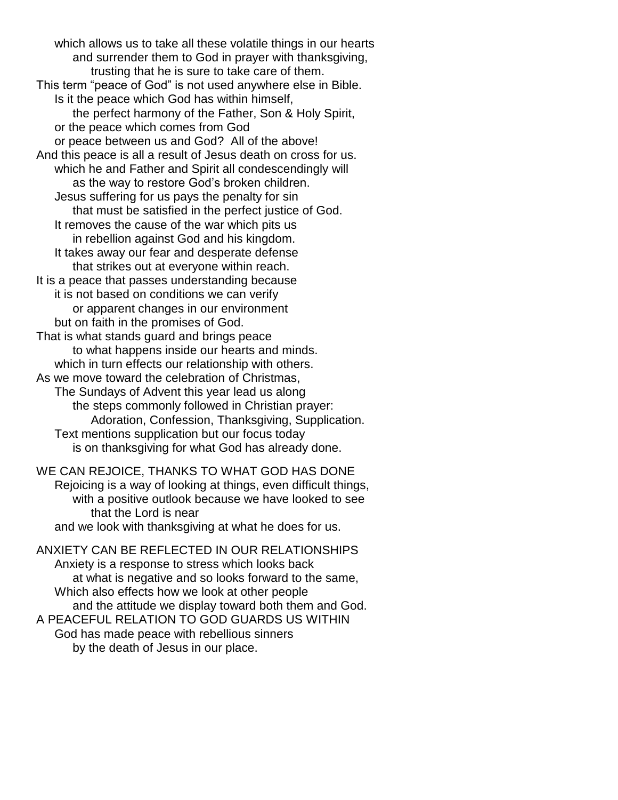which allows us to take all these volatile things in our hearts and surrender them to God in prayer with thanksgiving, trusting that he is sure to take care of them. This term "peace of God" is not used anywhere else in Bible. Is it the peace which God has within himself, the perfect harmony of the Father, Son & Holy Spirit, or the peace which comes from God or peace between us and God? All of the above! And this peace is all a result of Jesus death on cross for us. which he and Father and Spirit all condescendingly will as the way to restore God's broken children. Jesus suffering for us pays the penalty for sin that must be satisfied in the perfect justice of God. It removes the cause of the war which pits us in rebellion against God and his kingdom. It takes away our fear and desperate defense that strikes out at everyone within reach. It is a peace that passes understanding because it is not based on conditions we can verify or apparent changes in our environment but on faith in the promises of God. That is what stands guard and brings peace to what happens inside our hearts and minds. which in turn effects our relationship with others. As we move toward the celebration of Christmas, The Sundays of Advent this year lead us along the steps commonly followed in Christian prayer: Adoration, Confession, Thanksgiving, Supplication. Text mentions supplication but our focus today is on thanksgiving for what God has already done.

WE CAN REJOICE, THANKS TO WHAT GOD HAS DONE Rejoicing is a way of looking at things, even difficult things, with a positive outlook because we have looked to see that the Lord is near and we look with thanksgiving at what he does for us.

ANXIETY CAN BE REFLECTED IN OUR RELATIONSHIPS Anxiety is a response to stress which looks back at what is negative and so looks forward to the same, Which also effects how we look at other people and the attitude we display toward both them and God. A PEACEFUL RELATION TO GOD GUARDS US WITHIN God has made peace with rebellious sinners by the death of Jesus in our place.